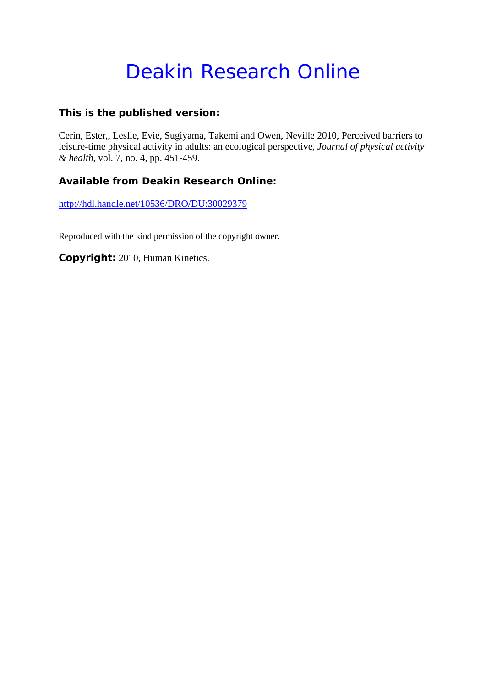# Deakin Research Online

## **This is the published version:**

Cerin, Ester,, Leslie, Evie, Sugiyama, Takemi and Owen, Neville 2010, Perceived barriers to leisure-time physical activity in adults: an ecological perspective*, Journal of physical activity & health*, vol. 7, no. 4, pp. 451-459.

# **Available from Deakin Research Online:**

http://hdl.handle.net/10536/DRO/DU:30029379

Reproduced with the kind permission of the copyright owner.

**Copyright:** 2010, Human Kinetics.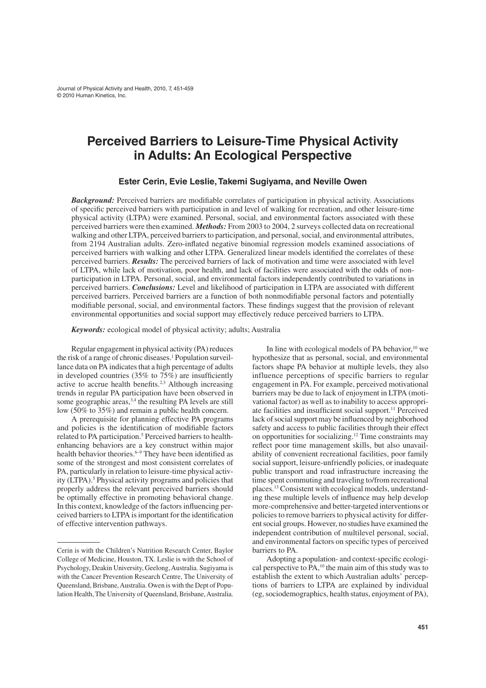# **Perceived Barriers to Leisure-Time Physical Activity in Adults: An Ecological Perspective**

#### **Ester Cerin, Evie Leslie, Takemi Sugiyama, and Neville Owen**

*Background:* Perceived barriers are modifiable correlates of participation in physical activity. Associations of specific perceived barriers with participation in and level of walking for recreation, and other leisure-time physical activity (LTPA) were examined. Personal, social, and environmental factors associated with these perceived barriers were then examined. *Methods:* From 2003 to 2004, 2 surveys collected data on recreational walking and other LTPA, perceived barriers to participation, and personal, social, and environmental attributes, from 2194 Australian adults. Zero-inflated negative binomial regression models examined associations of perceived barriers with walking and other LTPA. Generalized linear models identified the correlates of these perceived barriers. *Results:* The perceived barriers of lack of motivation and time were associated with level of LTPA, while lack of motivation, poor health, and lack of facilities were associated with the odds of nonparticipation in LTPA. Personal, social, and environmental factors independently contributed to variations in perceived barriers. *Conclusions:* Level and likelihood of participation in LTPA are associated with different perceived barriers. Perceived barriers are a function of both nonmodifiable personal factors and potentially modifiable personal, social, and environmental factors. These findings suggest that the provision of relevant environmental opportunities and social support may effectively reduce perceived barriers to LTPA.

*Keywords:* ecological model of physical activity; adults; Australia

Regular engagement in physical activity (PA) reduces the risk of a range of chronic diseases.<sup>1</sup> Population surveillance data on PA indicates that a high percentage of adults in developed countries (35% to 75%) are insufficiently active to accrue health benefits.2,3 Although increasing trends in regular PA participation have been observed in some geographic areas,<sup>3,4</sup> the resulting PA levels are still low (50% to 35%) and remain a public health concern.

A prerequisite for planning effective PA programs and policies is the identification of modifiable factors related to PA participation.<sup>5</sup> Perceived barriers to healthenhancing behaviors are a key construct within major health behavior theories.<sup>6-9</sup> They have been identified as some of the strongest and most consistent correlates of PA, particularly in relation to leisure-time physical activity (LTPA).<sup>5</sup> Physical activity programs and policies that properly address the relevant perceived barriers should be optimally effective in promoting behavioral change. In this context, knowledge of the factors influencing perceived barriers to LTPA is important for the identification of effective intervention pathways.

In line with ecological models of PA behavior, $10$  we hypothesize that as personal, social, and environmental factors shape PA behavior at multiple levels, they also influence perceptions of specific barriers to regular engagement in PA. For example, perceived motivational barriers may be due to lack of enjoyment in LTPA (motivational factor) as well as to inability to access appropriate facilities and insufficient social support.<sup>11</sup> Perceived lack of social support may be influenced by neighborhood safety and access to public facilities through their effect on opportunities for socializing.12 Time constraints may reflect poor time management skills, but also unavailability of convenient recreational facilities, poor family social support, leisure-unfriendly policies, or inadequate public transport and road infrastructure increasing the time spent commuting and traveling to/from recreational places.13 Consistent with ecological models, understanding these multiple levels of influence may help develop more-comprehensive and better-targeted interventions or policies to remove barriers to physical activity for different social groups. However, no studies have examined the independent contribution of multilevel personal, social, and environmental factors on specific types of perceived barriers to PA.

Adopting a population- and context-specific ecological perspective to PA,<sup>10</sup> the main aim of this study was to establish the extent to which Australian adults' perceptions of barriers to LTPA are explained by individual (eg, sociodemographics, health status, enjoyment of PA),

Cerin is with the Children's Nutrition Research Center, Baylor College of Medicine, Houston, TX. Leslie is with the School of Psychology, Deakin University, Geelong, Australia. Sugiyama is with the Cancer Prevention Research Centre, The University of Queensland, Brisbane, Australia. Owen is with the Dept of Population Health, The University of Queensland, Brisbane, Australia.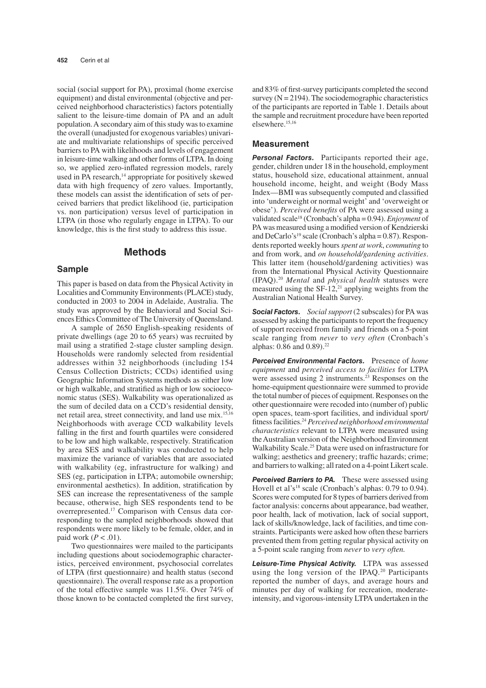social (social support for PA), proximal (home exercise equipment) and distal environmental (objective and perceived neighborhood characteristics) factors potentially salient to the leisure-time domain of PA and an adult population. A secondary aim of this study was to examine the overall (unadjusted for exogenous variables) univariate and multivariate relationships of specific perceived barriers to PA with likelihoods and levels of engagement in leisure-time walking and other forms of LTPA. In doing so, we applied zero-inflated regression models, rarely used in PA research,<sup>14</sup> appropriate for positively skewed data with high frequency of zero values. Importantly, these models can assist the identification of sets of perceived barriers that predict likelihood (ie, participation vs. non participation) versus level of participation in LTPA (in those who regularly engage in LTPA). To our knowledge, this is the first study to address this issue.

#### **Methods**

#### **Sample**

This paper is based on data from the Physical Activity in Localities and Community Environments (PLACE) study, conducted in 2003 to 2004 in Adelaide, Australia. The study was approved by the Behavioral and Social Sciences Ethics Committee of The University of Queensland.

A sample of 2650 English-speaking residents of private dwellings (age 20 to 65 years) was recruited by mail using a stratified 2-stage cluster sampling design. Households were randomly selected from residential addresses within 32 neighborhoods (including 154 Census Collection Districts; CCDs) identified using Geographic Information Systems methods as either low or high walkable, and stratified as high or low socioeconomic status (SES). Walkability was operationalized as the sum of deciled data on a CCD's residential density, net retail area, street connectivity, and land use mix.15,16 Neighborhoods with average CCD walkability levels falling in the first and fourth quartiles were considered to be low and high walkable, respectively. Stratification by area SES and walkability was conducted to help maximize the variance of variables that are associated with walkability (eg, infrastructure for walking) and SES (eg, participation in LTPA; automobile ownership; environmental aesthetics). In addition, stratification by SES can increase the representativeness of the sample because, otherwise, high SES respondents tend to be overrepresented.17 Comparison with Census data corresponding to the sampled neighborhoods showed that respondents were more likely to be female, older, and in paid work  $(P < .01)$ .

Two questionnaires were mailed to the participants including questions about sociodemographic characteristics, perceived environment, psychosocial correlates of LTPA (first questionnaire) and health status (second questionnaire). The overall response rate as a proportion of the total effective sample was 11.5%. Over 74% of those known to be contacted completed the first survey,

and 83% of first-survey participants completed the second survey  $(N = 2194)$ . The sociodemographic characteristics of the participants are reported in Table 1. Details about the sample and recruitment procedure have been reported elsewhere.15,16

#### **Measurement**

*Personal Factors.* Participants reported their age, gender, children under 18 in the household, employment status, household size, educational attainment, annual household income, height, and weight (Body Mass Index—BMI was subsequently computed and classified into 'underweight or normal weight' and 'overweight or obese'). *Perceived benefits* of PA were assessed using a validated scale18 (Cronbach's alpha = 0.94). *Enjoyment* of PA was measured using a modified version of Kendzierski and DeCarlo's<sup>19</sup> scale (Cronbach's alpha =  $0.87$ ). Respondents reported weekly hours *spent at work*, *commuting* to and from work, and *on household/gardening activities*. This latter item (household/gardening activities) was from the International Physical Activity Questionnaire (IPAQ).20 *Mental* and *physical health* statuses were measured using the  $SF-12$ ,<sup>21</sup> applying weights from the Australian National Health Survey.

*Social Factors. Social support* (2 subscales) for PA was assessed by asking the participants to report the frequency of support received from family and friends on a 5-point scale ranging from *never* to *very often* (Cronbach's alphas:  $0.86$  and  $0.89$ ).<sup>22</sup>

*Perceived Environmental Factors.* Presence of *home equipment* and *perceived access to facilities* for LTPA were assessed using 2 instruments.<sup>23</sup> Responses on the home-equipment questionnaire were summed to provide the total number of pieces of equipment. Responses on the other questionnaire were recoded into (number of) public open spaces, team-sport facilities, and individual sport/ fitness facilities.24 *Perceived neighborhood environmental characteristics* relevant to LTPA were measured using the Australian version of the Neighborhood Environment Walkability Scale.25 Data were used on infrastructure for walking; aesthetics and greenery; traffic hazards; crime; and barriers to walking; all rated on a 4-point Likert scale.

*Perceived Barriers to PA.* These were assessed using Hovell et al's<sup>18</sup> scale (Cronbach's alphas:  $0.79$  to  $0.94$ ). Scores were computed for 8 types of barriers derived from factor analysis: concerns about appearance, bad weather, poor health, lack of motivation, lack of social support, lack of skills/knowledge, lack of facilities, and time constraints. Participants were asked how often these barriers prevented them from getting regular physical activity on a 5-point scale ranging from *never* to *very often.*

*Leisure-Time Physical Activity.* LTPA was assessed using the long version of the IPAQ.<sup>20</sup> Participants reported the number of days, and average hours and minutes per day of walking for recreation, moderateintensity, and vigorous-intensity LTPA undertaken in the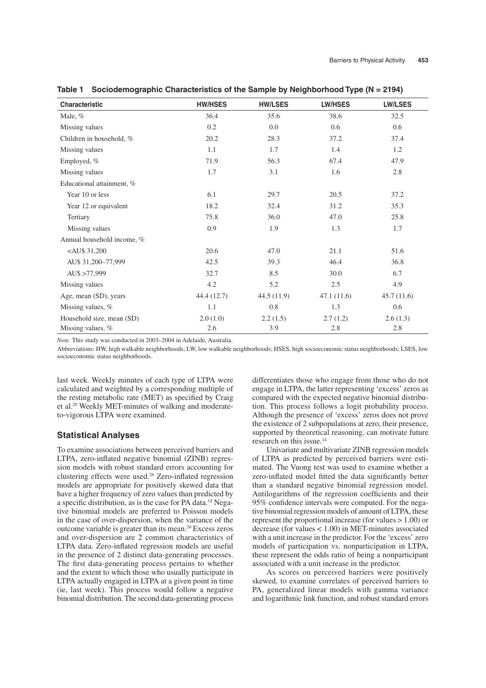| Characteristic             | <b>HW/HSES</b> | <b>HW/LSES</b> | <b>LW/HSES</b> | <b>LW/LSES</b> |
|----------------------------|----------------|----------------|----------------|----------------|
| Male, %                    | 36.4           | 35.6           | 38.6           | 32.5           |
| Missing values             | 0.2            | 0.0            | 0.6            | 0.6            |
| Children in household, %   | 20.2           | 28.3           | 37.2           | 37.4           |
| Missing values             | 1.1            | 1.7            | 1.4            | 1.2            |
| Employed, %                | 71.9           | 56.3           | 67.4           | 47.9           |
| Missing values             | 1.7            | 3.1            | 1.6            | 2.8            |
| Educational attainment, %  |                |                |                |                |
| Year 10 or less            | 6.1            | 29.7           | 20.5           | 37.2           |
| Year 12 or equivalent      | 18.2           | 32.4           | 31.2           | 35.3           |
| Tertiary                   | 75.8           | 36.0           | 47.0           | 25.8           |
| Missing values             | 0.9            | 1.9            | 1.3            | 1.7            |
| Annual household income, % |                |                |                |                |
| $<$ AU\$ 31,200            | 20.6           | 47.0           | 21.1           | 51.6           |
| AU\$ 31,200-77,999         | 42.5           | 39.3           | 46.4           | 36.8           |
| AU\$ >77,999               | 32.7           | 8.5            | 30.0           | 6.7            |
| Missing values             | 4.2            | 5.2            | 2.5            | 4.9            |
| Age, mean (SD), years      | 44.4 (12.7)    | 44.5 (11.9)    | 47.1(11.6)     | 45.7(11.6)     |
| Missing values, %          | 1.1            | 0.8            | 1.3            | 0.6            |
| Household size, mean (SD)  | 2.0(1.0)       | 2.2(1.5)       | 2.7(1.2)       | 2.6(1.3)       |
| Missing values, %          | 2.6            | 3.9            | 2.8            | 2.8            |

**Table 1 Sociodemographic Characteristics of the Sample by Neighborhood Type (N = 2194)**

*Note.* This study was conducted in 2003–2004 in Adelaide, Australia.

Abbreviations: HW, high walkable neighborhoods; LW, low walkable neighborhoods; HSES, high socioeconomic status neighborhoods; LSES, low socioeconomic status neighborhoods.

last week. Weekly minutes of each type of LTPA were calculated and weighted by a corresponding multiple of the resting metabolic rate (MET) as specified by Craig et al.20 Weekly MET-minutes of walking and moderateto-vigorous LTPA were examined.

#### **Statistical Analyses**

To examine associations between perceived barriers and LTPA, zero-inflated negative binomial (ZINB) regression models with robust standard errors accounting for clustering effects were used.26 Zero-inflated regression models are appropriate for positively skewed data that have a higher frequency of zero values than predicted by a specific distribution, as is the case for PA data.14 Negative binomial models are preferred to Poisson models in the case of over-dispersion, when the variance of the outcome variable is greater than its mean.26 Excess zeros and over-dispersion are 2 common characteristics of LTPA data. Zero-inflated regression models are useful in the presence of 2 distinct data-generating processes. The first data-generating process pertains to whether and the extent to which those who usually participate in LTPA actually engaged in LTPA at a given point in time (ie, last week). This process would follow a negative binomial distribution. The second data-generating process

differentiates those who engage from those who do not engage in LTPA, the latter representing 'excess' zeros as compared with the expected negative binomial distribution. This process follows a logit probability process. Although the presence of 'excess' zeros does not prove the existence of 2 subpopulations at zero, their presence, supported by theoretical reasoning, can motivate future research on this issue.14

Univariate and multivariate ZINB regression models of LTPA as predicted by perceived barriers were estimated. The Vuong test was used to examine whether a zero-inflated model fitted the data significantly better than a standard negative binomial regression model. Antilogarithms of the regression coefficients and their 95% confidence intervals were computed. For the negative binomial regression models of amount of LTPA, these represent the proportional increase (for values > 1.00) or decrease (for values < 1.00) in MET-minutes associated with a unit increase in the predictor. For the 'excess' zero models of participation vs. nonparticipation in LTPA, these represent the odds ratio of being a nonparticipant associated with a unit increase in the predictor.

As scores on perceived barriers were positively skewed, to examine correlates of perceived barriers to PA, generalized linear models with gamma variance and logarithmic link function, and robust standard errors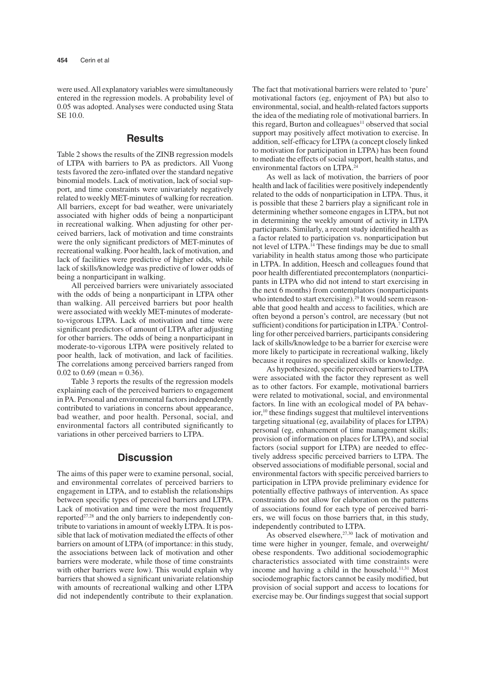were used. All explanatory variables were simultaneously entered in the regression models. A probability level of 0.05 was adopted. Analyses were conducted using Stata SE 10.0.

## **Results**

Table 2 shows the results of the ZINB regression models of LTPA with barriers to PA as predictors. All Vuong tests favored the zero-inflated over the standard negative binomial models. Lack of motivation, lack of social support, and time constraints were univariately negatively related to weekly MET-minutes of walking for recreation. All barriers, except for bad weather, were univariately associated with higher odds of being a nonparticipant in recreational walking. When adjusting for other perceived barriers, lack of motivation and time constraints were the only significant predictors of MET-minutes of recreational walking. Poor health, lack of motivation, and lack of facilities were predictive of higher odds, while lack of skills/knowledge was predictive of lower odds of being a nonparticipant in walking.

All perceived barriers were univariately associated with the odds of being a nonparticipant in LTPA other than walking. All perceived barriers but poor health were associated with weekly MET-minutes of moderateto-vigorous LTPA. Lack of motivation and time were significant predictors of amount of LTPA after adjusting for other barriers. The odds of being a nonparticipant in moderate-to-vigorous LTPA were positively related to poor health, lack of motivation, and lack of facilities. The correlations among perceived barriers ranged from 0.02 to 0.69 (mean =  $0.36$ ).

Table 3 reports the results of the regression models explaining each of the perceived barriers to engagement in PA. Personal and environmental factors independently contributed to variations in concerns about appearance, bad weather, and poor health. Personal, social, and environmental factors all contributed significantly to variations in other perceived barriers to LTPA.

## **Discussion**

The aims of this paper were to examine personal, social, and environmental correlates of perceived barriers to engagement in LTPA, and to establish the relationships between specific types of perceived barriers and LTPA. Lack of motivation and time were the most frequently reported<sup>27,28</sup> and the only barriers to independently contribute to variations in amount of weekly LTPA. It is possible that lack of motivation mediated the effects of other barriers on amount of LTPA (of importance: in this study, the associations between lack of motivation and other barriers were moderate, while those of time constraints with other barriers were low). This would explain why barriers that showed a significant univariate relationship with amounts of recreational walking and other LTPA did not independently contribute to their explanation.

The fact that motivational barriers were related to 'pure' motivational factors (eg, enjoyment of PA) but also to environmental, social, and health-related factors supports the idea of the mediating role of motivational barriers. In this regard, Burton and colleagues<sup>11</sup> observed that social support may positively affect motivation to exercise. In addition, self-efficacy for LTPA (a concept closely linked to motivation for participation in LTPA) has been found to mediate the effects of social support, health status, and environmental factors on LTPA.24

As well as lack of motivation, the barriers of poor health and lack of facilities were positively independently related to the odds of nonparticipation in LTPA. Thus, it is possible that these 2 barriers play a significant role in determining whether someone engages in LTPA, but not in determining the weekly amount of activity in LTPA participants. Similarly, a recent study identified health as a factor related to participation vs. nonparticipation but not level of LTPA.<sup>14</sup> These findings may be due to small variability in health status among those who participate in LTPA. In addition, Heesch and colleagues found that poor health differentiated precontemplators (nonparticipants in LTPA who did not intend to start exercising in the next 6 months) from contemplators (nonparticipants who intended to start exercising).<sup>29</sup> It would seem reasonable that good health and access to facilities, which are often beyond a person's control, are necessary (but not sufficient) conditions for participation in LTPA.<sup>7</sup> Controlling for other perceived barriers, participants considering lack of skills/knowledge to be a barrier for exercise were more likely to participate in recreational walking, likely because it requires no specialized skills or knowledge.

As hypothesized, specific perceived barriers to LTPA were associated with the factor they represent as well as to other factors. For example, motivational barriers were related to motivational, social, and environmental factors. In line with an ecological model of PA behav- $\chi^{10}$  these findings suggest that multilevel interventions targeting situational (eg, availability of places for LTPA) personal (eg, enhancement of time management skills; provision of information on places for LTPA), and social factors (social support for LTPA) are needed to effectively address specific perceived barriers to LTPA. The observed associations of modifiable personal, social and environmental factors with specific perceived barriers to participation in LTPA provide preliminary evidence for potentially effective pathways of intervention. As space constraints do not allow for elaboration on the patterns of associations found for each type of perceived barriers, we will focus on those barriers that, in this study, independently contributed to LTPA.

As observed elsewhere,<sup>27,30</sup> lack of motivation and time were higher in younger, female, and overweight/ obese respondents. Two additional sociodemographic characteristics associated with time constraints were income and having a child in the household.<sup>11,31</sup> Most sociodemographic factors cannot be easily modified, but provision of social support and access to locations for exercise may be. Our findings suggest that social support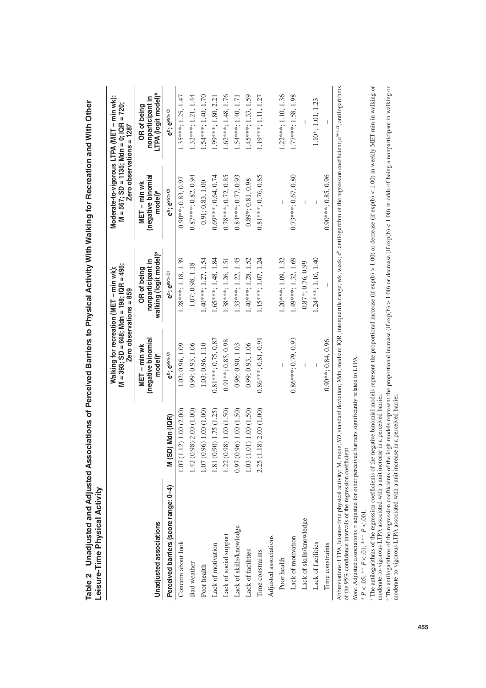|                                                                                                                                                                                                                                                                                                            |                         |                                                             | $M = 393$ ; SD = 648; Mdn = 198; IQR = 495<br>Walking for recreation (MET - min wk):<br>Zero observations = 859 | Moderate-to-vigorous LTPA (MET - min wk):<br>$M = 567$ ; SD = 1135; Mdn = 0; IQR = 720;<br>Zero observations = 1287 |                                                                     |
|------------------------------------------------------------------------------------------------------------------------------------------------------------------------------------------------------------------------------------------------------------------------------------------------------------|-------------------------|-------------------------------------------------------------|-----------------------------------------------------------------------------------------------------------------|---------------------------------------------------------------------------------------------------------------------|---------------------------------------------------------------------|
| <b>Unadjusted associations</b>                                                                                                                                                                                                                                                                             |                         | (negative binomial<br>$MET - min$ wk<br>model) <sup>a</sup> | walking (logit model) <sup>b</sup><br>nonparticipant in<br>OR of being                                          | (negative binomial<br>$MET - min wk$<br>model) <sup>a</sup>                                                         | LTPA (logit model) <sup>b</sup><br>nonparticipant in<br>OR of being |
| Perceived barriers (score range: 0-4)                                                                                                                                                                                                                                                                      | M (SD) Mdn (IQR)        | e <sup>b</sup> ; e <sup>95% Cl</sup>                        | e <sup>b</sup> ; e <sup>95% Cl</sup>                                                                            | e <sup>b</sup> ; e <sup>95% Cl</sup>                                                                                | e <sup>b</sup> ; e <sup>95% Cl</sup>                                |
| Concern about look                                                                                                                                                                                                                                                                                         | 1.07(1.12)1.00(2.00)    | 1.02; 0.96, 1.09                                            | 1.28***; 1.18, 1.39                                                                                             | $0.90**$ ; 0.83, 0.97                                                                                               | $1.35***; 1.25, 1.47$                                               |
| Bad weather                                                                                                                                                                                                                                                                                                | .42(0.98)2.00(1.00)     | 0.99; 0.93, 1.06                                            | 1.07; 0.98, 1.18                                                                                                | $0.87***;0.82,0.94$                                                                                                 | $1.32***; 1.21, 1.44$                                               |
| Poor health                                                                                                                                                                                                                                                                                                | 1.07 (0.96) 1.00 (1.00) | 1.03; 0.96, 1.10                                            | $1.40***; 1.27, 1.54$                                                                                           | 0.91; 0.83, 1.00                                                                                                    | 1.54***; 1.40, 1.70                                                 |
| Lack of motivation                                                                                                                                                                                                                                                                                         | 1.81(0.90) 1.75(1.25)   | $0.81***;0.75,0.87$                                         | $1.65***; 1.48, 1.84$                                                                                           | $0.69***;0.64,0.74$                                                                                                 | $1.99***; 1.80, 2.21$                                               |
| Lack of social support                                                                                                                                                                                                                                                                                     | .22(0.98)1.00(1.50)     | $0.91***; 0.85; 0.98$                                       | 1.38***; 1.26, 1.51                                                                                             | $0.78***;0.72,0.85$                                                                                                 | 1.62***; 1.48, 1.76                                                 |
| Lack of skills/knowledge                                                                                                                                                                                                                                                                                   | 0.97 (0.96) 1.00 (1.50) | 0.96; 0.90, 1.03                                            | 1.33***; 1.22, 1.45                                                                                             | $0.84***;0.77,0.93$                                                                                                 | 1.54***; 1.40, 1.71                                                 |
| Lack of facilities                                                                                                                                                                                                                                                                                         | 1.03 (1.01) 1.00 (1.50) | 0.99; 0.93, 1.06                                            | 1.40***; 1.28, 1.52                                                                                             | $0.89*; 0.81, 0.98$                                                                                                 | 1.45***; 1.33, 1.59                                                 |
| Time constraints                                                                                                                                                                                                                                                                                           | 2.25 (1.18) 2.00 (1.00) | $0.86***;0.81,0.91$                                         | 1.15***; 1.07, 1.24                                                                                             | $0.81***;0.76,0.85$                                                                                                 | 1.19***; 1.11, 1.27                                                 |
| Adjusted associations                                                                                                                                                                                                                                                                                      |                         |                                                             |                                                                                                                 |                                                                                                                     |                                                                     |
| Poor health                                                                                                                                                                                                                                                                                                |                         |                                                             | 1.20***; 1.09, 1.32                                                                                             |                                                                                                                     | 1.22***; 1.10, 1.36                                                 |
| Lack of motivation                                                                                                                                                                                                                                                                                         |                         | $0.86***; 0.79, 0.93$                                       | 1.49***; 1.32, 1.69                                                                                             | $0.73***;0.67,0.80$                                                                                                 | 1.77***; 1.58, 1.98                                                 |
| Lack of skills/knowledge                                                                                                                                                                                                                                                                                   |                         | $\begin{array}{c} \hline \end{array}$                       | $0.87*$ ; 0.76, 0.99                                                                                            |                                                                                                                     |                                                                     |
| Lack of facilities                                                                                                                                                                                                                                                                                         |                         |                                                             | 1.24***; 1.10, 1.40                                                                                             |                                                                                                                     | $1.10*$ ; 1.01, 1.23                                                |
| Time constraints                                                                                                                                                                                                                                                                                           |                         | $0.90**$ ; 0.84, 0.96                                       |                                                                                                                 | $0.90***;0.85,0.96$                                                                                                 |                                                                     |
| Abbreviations: LTPA, leisure-time physical activity; M, mean; SD, standard deviation; Mdn, median; IQR, interquartile range; wk, week; e <sup>b</sup> , antilogarithm of the regression coefficient; e <sup>988</sup> . 4, antilogarithms<br>of the 95% confidence intervals of the regression coefficient |                         |                                                             |                                                                                                                 |                                                                                                                     |                                                                     |

**Table 2 Unadjusted and Adjusted Associations of Perceived Barriers to Physical Activity With Walking for Recreation and With Other**  Table 2 Unadjusted and Adjusted Associations of Perceived Barriers to Physical Activity With Walking for Recreation and With Other Leisure-Time Physical Activity **Leisure-Time Physical Activity** of the 95% confidence intervals of the regression coefficient.

Note. Adjusted associations = adjusted for other perceived barriers significantly related to LTPA. *Note.* Adjusted associations = adjusted for other perceived barriers significantly related to LTPA.

\*  $P < 0.05$ ; \*\*  $P < 0.01$ ; \*\*\*  $P < 0.01$ . \* *P* < .05; \*\* *P* < .01; \*\*\* *P* < .001.

 $\frac{m}{100}$  The antilogarithms of the regression coefficients of the negative binomial models represent the proportional increase (if exp(b) > 1.00) or decrease (if exp(b) < 1.00) in weekly MET-min in walking or moderate-The antilogarithms of the regression coefficients of the negative binomial models represent the proportional increase (if exp(b)  $> 1.00$ ) or decrease (if exp(b)  $< 1.00$ ) in weekly MET-min in walking or moderate-to-vigorous LTPA associated with a unit increase in a perceived barrier.

° The antilogarithms of the regression coefficients of the logit models represent the proportional increase (if exp(b) > 1.00) or decrease (if exp(b) < 1.00) in odds of being a nonparticipant in walking or moderate-to-vig The antilogarithms of the regression coefficients of the logit models represent the proportional increase (if exp(b)  $> 1.00$ ) or decrease (if exp(b)  $< 1.00$ ) in odds of being a nonparticipant in walking or moderate-to-vigorous LTPA associated with a unit increase in a perceived barrier.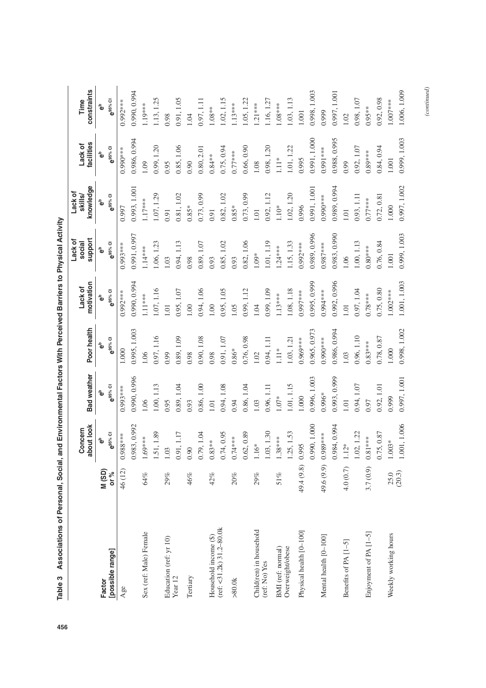| Associations of Personal, Social, and<br>Table 3 |            |                       | Environmental Factors With Perceived Barriers to Physical Activity |              |                       |                                 |                                 |                       |                     |
|--------------------------------------------------|------------|-----------------------|--------------------------------------------------------------------|--------------|-----------------------|---------------------------------|---------------------------------|-----------------------|---------------------|
|                                                  |            | about look<br>Concern | <b>Bad weather</b>                                                 | Poor health  | motivation<br>Lack of | support<br>Lack of<br>social    | knowledge<br>Lack of<br>skills/ | facilities<br>Lack of | constraints<br>Time |
| Factor                                           | M (SD)     | ှိ<br>စ               | م<br>ه                                                             | శి           | ခု<br>စ               | శి                              | $\mathbf{a}^{\mathbf{b}}$       | శి                    | శి                  |
| [possible range]                                 | or %       | e <sup>95% Cl</sup>   | e <sup>95% Cl</sup>                                                | e 95% Cl     | e <sup>95% Cl</sup>   | e <sup>95% Cl</sup>             | e <sup>95% Cl</sup>             | e <sup>95% Cl</sup>   | e <sup>95% Cl</sup> |
| Age                                              | 46(12)     | $0.988***$            | $0.993***$                                                         | 1.000        | $0.992***$            | $0.993***$                      | 0.997                           | $0.990***$            | 0.992 ***           |
|                                                  |            | 0.983, 0.992          | 0.990, 0.996                                                       | 0.995, 1.003 | 0.990, 0.994          | 0.991, 0.997                    | 0.993, 1.001                    | 0.986, 0.994          | 0.990, 0.994        |
| Sex (ref: Male) Female                           | 64%        | $1.69***$             | 1.06                                                               | 1.06         | $1.11***$             | $1.14***$                       | $1.17***$                       | 1.09                  | $1.19***$           |
|                                                  |            | 1.89<br><b>151</b> ,  | 1.00, 1.13                                                         | 0.97, 1.16   | 1.07, 1.16            | 1.06, 1.23                      | 1.07, 1.29                      | 0.99, 1.20            | 1.13, 1.25          |
| Education (ref: yr 10)                           | 29%        | 1.03                  | 0.95                                                               | 0.99         | 1.01                  | 1.03                            | 0.91                            | 0.95                  | 0.98                |
| Year <sub>12</sub>                               |            | 1.17<br>0.91,         | 0.89, 1.04                                                         | 0.89, 1.09   | 0.95, 1.07            | 0.94, 1.13                      | 0.81, 1.02                      | 0.85, 1.06            | 0.91, 1.05          |
| Tertiary                                         | 46%        | 0.90                  | 0.93                                                               | 0.98         | 1.00                  | 0.98                            | $0.85*$                         | 0.90                  | 1.04                |
|                                                  |            | 1.04<br>0.79,         | 0.86, 1.00                                                         | 0.90, 1.08   | 0.94, 1.06            | 0.89, 1.07                      | 0.73, 0.99                      | 0.80, 2.01            | 0.97, 1.11          |
| Household income (\$)                            | 42%        | $0.83***$             | $1.01$                                                             | 0.98         | 1.00                  | 0.93                            | 0.91                            | $0.84**$              | $1.08**$            |
| $(\text{ref:} < 31.2 \text{k})$ 31.2-80.0k       |            | 0.95<br>0.74,         | 0.94, 1.08                                                         | 0.91, 1.07   | 0.95, 1.05            | 0.85, 1.02                      | 0.82, 1.02                      | 0.75, 0.94            | .02, 1.15           |
| $> 80.0k$                                        | 20%        | $0.74***$             | 0.94                                                               | $0.86*$      | 1.05                  | 0.93                            | $0.85*$                         | $0.77***$             | $.13***$            |
|                                                  |            | 0.89<br>0.62,         | 0.86, 1.04                                                         | 0.76, 0.98   | 0.99, 1.12            | 0.82, 1.06                      | 0.73, 0.99                      | 0.66, 0.90            | .05, 1.22           |
| Child(ren) in household                          | 29%        | $1.16*$               | 1.03                                                               | 1.02         | 1.04                  | $1.09\ensuremath{^\ast}\xspace$ | 1.01                            | 1.08                  | $1.21***$           |
| (ref: No) Yes                                    |            | 1.30<br>1.03,         | 0.96, 1.11                                                         | 0.94, 1.11   | 0.99, 1.09            | 1.01, 1.19                      | 0.92, 1.12                      | 0.98, 1.20            | 1.16, 1.27          |
| BMI (ref: normal)                                | 51%        | $1.38***$             | $1.07\mathrm{*}$                                                   | $1.11*$      | $1.13***$             | $1.24***$                       | $1.10\,^*$                      | $1.11*$               | $1.08***$           |
| Overweight/obese                                 |            | 1.53<br>1.25,         | 1.01, 1.15                                                         | 1.03, 1.21   | 1.08, 1.18            | 1.15, 1.33                      | 1.02, 1.20                      | 1.01, 1.22            | .03, 1.13           |
| Physical health [0-100]                          | 49.4 (9.8) | 0.995                 | 1.000                                                              | $0.969***$   | 0.997***              | $0.992***$                      | 0.996                           | 0.995                 | 1.001               |
|                                                  |            | 0.990, 1.000          | 0.996, 1.003                                                       | 0.965, 0.973 | 0.995, 0.999          | 0.989, 0.996                    | 0.991, 1.001                    | 0.991, 1.000          | 0.998, 1.003        |
| Mental health [0-100]                            | 49.6 (9.9) | $0.989***$            | $0.996*$                                                           | $0.990***$   | 0.994 ***             | $0.987***$                      | $0.990***$                      | $0.991***$            | 0.999               |
|                                                  |            | 0.984, 0.994          | 0.993, 0.999                                                       | 0.986, 0.994 | 0.992, 0.996          | 0.983, 0.990                    | 0.989, 0.994                    | 0.988, 0.995          | 0.997, 1.001        |
| Benefits of PA [1-5]                             | 4.0(0.7)   | $1.12*$               | $1.01\,$                                                           | 1.03         | $1.01\,$              | 1.06                            | $1.01\,$                        | 0.99                  | 1.02                |
|                                                  |            | 1.22<br>$1.02,$       | 0.94, 1.07                                                         | 0.96, 1.10   | 0.97, 1.04            | 1.00, 1.13                      | 0.93, 1.11                      | 0.92, 1.07            | 0.98, 1.07          |
| Enjoyment of PA [1-5]                            | 3.7 (0.9)  | $0.81***$             | 0.97                                                               | $0.83***$    | $0.78***$             | $0.80***$                       | $0.77***$                       | $0.89***$             | $0.95**$            |
|                                                  |            | 0.75, 0.87            | 0.92, 1.01                                                         | 0.78, 0.87   | 0.75, 0.80            | 0.76, 0.84                      | 0.72, 0.81                      | 0.84, 0.94            | 0.92, 0.98          |
| Weekly working hours                             | 25.0       | $1.003*$              | 0.999                                                              | 1.000        | $1.002***$            | $1.001\,$                       | 1.000                           | 1.001                 | $-007$ ***          |
|                                                  | (20.3)     | , 1.006<br>1.001      | 0.997, 1.001                                                       | 0.998, 1.002 | 1.001, 1.003          | 0.999, 1.003                    | 0.997, 1.002                    | 0.999, 1.003          | 1.006, 1.009        |

*(continued)*

 $\left( continued\right)$ 

Table 3 Associations of Personal, Social, and Environmental Factors With Perceived Barriers to Physical Activity **456Table 3 Associations of Personal, Social, and Environmental Factors With Perceived Barriers to Physical Activity**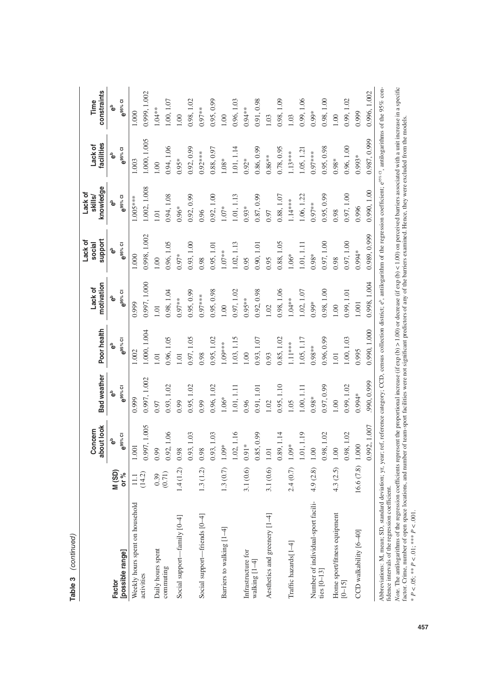|                                                                                                                                                                                                                                                                 |                   | about look<br>Concern | <b>Bad weather</b>  | Poor health         | motivation<br>Lack of | support<br>Lack of<br>social | knowledge<br>Lack of<br>skills/ | Lack of<br>facilities | constraints<br>Time |
|-----------------------------------------------------------------------------------------------------------------------------------------------------------------------------------------------------------------------------------------------------------------|-------------------|-----------------------|---------------------|---------------------|-----------------------|------------------------------|---------------------------------|-----------------------|---------------------|
| Factor                                                                                                                                                                                                                                                          | M(SD)             | ؈۠                    | శి                  | శి                  | శి                    | శి                           | శి                              | శి                    | శి                  |
| [possible range]                                                                                                                                                                                                                                                | or %              | 195% CI               | e <sup>95%</sup> Cl | e <sup>95% Cl</sup> | $e^{95\%}$ Cl         | e <sup>95% Cl</sup>          | e <sup>95% Cl</sup>             | e <sup>95% Cl</sup>   | e <sup>95% Cl</sup> |
| Weekly hours spent on household                                                                                                                                                                                                                                 | $\Xi$             | 1.001                 | 0.999               | 1.002               | 0.999                 | 1.000                        | $-005***$                       | 1.003                 | 1.000               |
| activities                                                                                                                                                                                                                                                      | (14.2)            | 0.997, 1.005          | 0.997, 1.002        | 1.000, 1.004        | 0.997, 1.000          | 0.998, 1.002                 | 1.002, 1.008                    | 1.000, 1.005          | 0.999, 1.002        |
| Daily hours spent                                                                                                                                                                                                                                               | 0.39              | 0.99                  | 0.97                | $\overline{0}$ .    | 1.01                  | 00.1                         | $\overline{0}$ .                | 00.1                  | $1.04***$           |
| commuting                                                                                                                                                                                                                                                       | (0.71)            | 1.06<br>0.92,         | 0.93, 1.02          | 0.96, 1.05          | 0.98, 1.04            | 0.96, 1.05                   | 0.94, 1.08                      | 0.94, 1.06            | 1.00, 1.07          |
| Social support—family [0-4]                                                                                                                                                                                                                                     | $1.4(1.2)$ 0.98   |                       | 0.99                | $1.01\,$            | $0.97**$              | $0.97*$                      | $0.96*$                         | $0.95*$               | 00.1                |
|                                                                                                                                                                                                                                                                 |                   | 1.03<br>0.93,         | 0.95, 1.02          | 0.97, 1.05          | 0.95, 0.99            | 0.93, 1.00                   | 0.92, 0.99                      | 0.92, 0.99            | 0.98, 1.02          |
| Social support-friends [0-4]                                                                                                                                                                                                                                    | 1.3(1.2)          | 0.98                  | 0.99                | 0.98                | $0.97***$             | 0.98                         | 0.96                            | $0.92***$             | $0.97**$            |
|                                                                                                                                                                                                                                                                 |                   | 0.93, 1.03            | 0.96, 1.02          | 0.95, 1.02          | 0.95, 0.98            | 0.95, 1.01                   | 0.92, 1.00                      | 0.88, 0.97            | 0.95, 0.99          |
| Barriers to walking [1-4]                                                                                                                                                                                                                                       | 1.3(0.7)          | $1.09*$               | $1.06*$             | $1.09***$           | 1.00                  | $1.07***$                    | $1.07*$                         | $1.08\,{*}$           | 1.00                |
|                                                                                                                                                                                                                                                                 |                   | 1.02, 1.16            | 1.01, 1.11          | .03, 1.15           | 0.97, 1.02            | 1.02, 1.13                   | 1.01, 1.13                      | 1.01, 1.14            | 0.96, 1.03          |
| Infrastructure for                                                                                                                                                                                                                                              | $3.1(0.6)$ 0.91*  |                       | 0.96                | 1.00                | $0.95**$              | 0.95                         | $0.93*$                         | $0.92*$               | $0.94***$           |
| walking [1-4]                                                                                                                                                                                                                                                   |                   | 0.99<br>0.85,         | 0.91, 1.01          | 0.93, 1.07          | 0.92, 0.98            | 0.90, 1.01                   | 0.87, 0.99                      | 0.86, 0.99            | 0.91, 0.98          |
| Aesthetics and greenery [1-4]                                                                                                                                                                                                                                   | 3.1(0.6)          | 1.01                  | 1.02                | 0.93                | 1.02                  | 0.95                         | 0.97                            | $0.86**$              | 1.03                |
|                                                                                                                                                                                                                                                                 |                   | 0.89, 1.14            | 0.95, 1.10          | 0.85, 1.02          | 0.98, 1.06            | 0.88, 1.05                   | $0.88,\, 1.07$                  | 0.78, 0.95            | 0.98, 1.09          |
| Traffic hazards[1-4]                                                                                                                                                                                                                                            | 2.4(0.7)          | $1.09*$               | 1.05                | $11***$             | $1.04**$              | 1.06*                        | $1.14***$                       | $1.13***$             | 1.03                |
|                                                                                                                                                                                                                                                                 |                   | 1.01, 1.19            | 1.00, 1.11          | 1.05, 1.17          | 1.02, 1.07            | 1.01, 1.11                   | 1.06, 1.22                      | 1.05, 1.21            | 0.99, 1.06          |
| Number of individual-sport facili-                                                                                                                                                                                                                              | 4.9(2.8) 1.00     |                       | $0.98*$             | $0.98***$           | $0.99*$               | $0.98*$                      | $0.97**$                        | $0.97***$             | $0.99*$             |
| ties $[0-13]$                                                                                                                                                                                                                                                   |                   | 1.02<br>0.98,         | 0.97, 0.99          | 0.96, 0.99          | 0.98, 1.00            | 0.97, 1.00                   | 0.95, 0.99                      | 0.95, 0.98            | 0.98, 1.00          |
| Home sport/fitness equipment                                                                                                                                                                                                                                    | $4.3(2.5)$ 1.00   |                       | 1.00                | 1.01                | 1.00                  | 0.98                         | 0.98                            | $0.98*$               | 1.00                |
| $[0 - 15]$                                                                                                                                                                                                                                                      |                   | 0.98, 1.02            | 0.99, 1.02          | 1.00, 1.03          | 0.99, 1.01            | 0.97, 1.00                   | 0.97, 1.00                      | 0.96, 1.00            | 0.99, 1.02          |
| CCD walkability [6-40]                                                                                                                                                                                                                                          | $16.6(7.8)$ 1.000 |                       | $0.994*$            | 0.995               | 1.001                 | $0.994*$                     | 0.996                           | $0.993*$              | 0.999               |
|                                                                                                                                                                                                                                                                 |                   | 0.992, 1.007          | 990, 0.999          | 0.990, 1.000        | 0.998, 1.004          | 0.989, 0.999                 | 0.990, 1.00                     | 0.987, 0.999          | 0.996, 1.002        |
| Abbreviations: M, mean; SD, standard deviation; yr, year; ref, reference category; CCD, census collection district; e*, antilogarithm of the regression coefficient; e*%" e", antilogarithms of the 95% con-<br>fidance intervale of the recreeeion coefficient |                   |                       |                     |                     |                       |                              |                                 |                       |                     |

fidence intervals of the regression coefficient.<br>*Note*. The antilogarithms of the regression coefficients represent the proportional increase (if exp (b) > 1.00) or decrease (if exp (b) < 1.00) on percived barriers assoc *Note*. The antilogarithms of the regression coefficients represent the proportional increase (if exp (b) > 1.00) or decrease (if exp (b) < 1.00) on perceived barriers associated with a unit increase in a specific factor. Crime, number of open space locations, and number of team-sport facilities were not significant predictors of any of the barriers examined. Hence, they were excluded from the models. fidence intervals of the regression coefficient.

\* *P* < .05; \*\* *P* < .01; \*\*\* *P* < .001.

Table 3 (continued) **Table 3** (continued)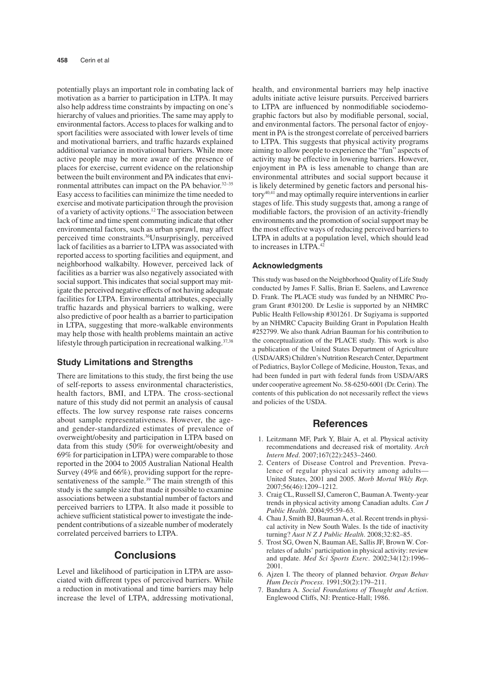potentially plays an important role in combating lack of motivation as a barrier to participation in LTPA. It may also help address time constraints by impacting on one's hierarchy of values and priorities. The same may apply to environmental factors. Access to places for walking and to sport facilities were associated with lower levels of time and motivational barriers, and traffic hazards explained additional variance in motivational barriers. While more active people may be more aware of the presence of places for exercise, current evidence on the relationship between the built environment and PA indicates that environmental attributes can impact on the PA behavior.<sup>32–35</sup> Easy access to facilities can minimize the time needed to exercise and motivate participation through the provision of a variety of activity options.12 The association between lack of time and time spent commuting indicate that other environmental factors, such as urban sprawl, may affect perceived time constraints.36Unsurprisingly, perceived lack of facilities as a barrier to LTPA was associated with reported access to sporting facilities and equipment, and neighborhood walkabilty. However, perceived lack of facilities as a barrier was also negatively associated with social support. This indicates that social support may mitigate the perceived negative effects of not having adequate facilities for LTPA. Environmental attributes, especially traffic hazards and physical barriers to walking, were also predictive of poor health as a barrier to participation in LTPA, suggesting that more-walkable environments may help those with health problems maintain an active lifestyle through participation in recreational walking.<sup>37,38</sup>

#### **Study Limitations and Strengths**

There are limitations to this study, the first being the use of self-reports to assess environmental characteristics, health factors, BMI, and LTPA. The cross-sectional nature of this study did not permit an analysis of causal effects. The low survey response rate raises concerns about sample representativeness. However, the ageand gender-standardized estimates of prevalence of overweight/obesity and participation in LTPA based on data from this study (50% for overweight/obesity and 69% for participation in LTPA) were comparable to those reported in the 2004 to 2005 Australian National Health Survey (49% and 66%), providing support for the representativeness of the sample.<sup>39</sup> The main strength of this study is the sample size that made it possible to examine associations between a substantial number of factors and perceived barriers to LTPA. It also made it possible to achieve sufficient statistical power to investigate the independent contributions of a sizeable number of moderately correlated perceived barriers to LTPA.

## **Conclusions**

Level and likelihood of participation in LTPA are associated with different types of perceived barriers. While a reduction in motivational and time barriers may help increase the level of LTPA, addressing motivational, health, and environmental barriers may help inactive adults initiate active leisure pursuits. Perceived barriers to LTPA are influenced by nonmodifiable sociodemographic factors but also by modifiable personal, social, and environmental factors. The personal factor of enjoyment in PA is the strongest correlate of perceived barriers to LTPA. This suggests that physical activity programs aiming to allow people to experience the "fun" aspects of activity may be effective in lowering barriers. However, enjoyment in PA is less amenable to change than are environmental attributes and social support because it is likely determined by genetic factors and personal history40,41 and may optimally require interventions in earlier stages of life. This study suggests that, among a range of modifiable factors, the provision of an activity-friendly environments and the promotion of social support may be the most effective ways of reducing perceived barriers to LTPA in adults at a population level, which should lead to increases in LTPA.<sup>42</sup>

#### **Acknowledgments**

This study was based on the Neighborhood Quality of Life Study conducted by James F. Sallis, Brian E. Saelens, and Lawrence D. Frank. The PLACE study was funded by an NHMRC Program Grant #301200. Dr Leslie is supported by an NHMRC Public Health Fellowship #301261. Dr Sugiyama is supported by an NHMRC Capacity Building Grant in Population Health #252799. We also thank Adrian Bauman for his contribution to the conceptualization of the PLACE study. This work is also a publication of the United States Department of Agriculture (USDA/ARS) Children's Nutrition Research Center, Department of Pediatrics, Baylor College of Medicine, Houston, Texas, and had been funded in part with federal funds from USDA/ARS under cooperative agreement No. 58-6250-6001 (Dr. Cerin). The contents of this publication do not necessarily reflect the views and policies of the USDA.

#### **References**

- 1. Leitzmann MF, Park Y, Blair A, et al. Physical activity recommendations and decreased risk of mortality. *Arch Intern Med*. 2007;167(22):2453–2460.
- 2. Centers of Disease Control and Prevention. Prevalence of regular physical activity among adults— United States, 2001 and 2005. *Morb Mortal Wkly Rep*. 2007;56(46):1209–1212.
- 3. Craig CL, Russell SJ, Cameron C, Bauman A. Twenty-year trends in physical activity among Canadian adults. *Can J Public Health*. 2004;95:59–63.
- 4. Chau J, Smith BJ, Bauman A, et al. Recent trends in physical activity in New South Wales. Is the tide of inactivity turning? *Aust N Z J Public Health*. 2008;32:82–85.
- 5. Trost SG, Owen N, Bauman AE, Sallis JF, Brown W. Correlates of adults' participation in physical activity: review and update. *Med Sci Sports Exerc*. 2002;34(12):1996– 2001.
- 6. Ajzen I. The theory of planned behavior. *Organ Behav Hum Decis Process*. 1991;50(2):179–211.
- 7. Bandura A. *Social Foundations of Thought and Action*. Englewood Cliffs, NJ: Prentice-Hall; 1986.